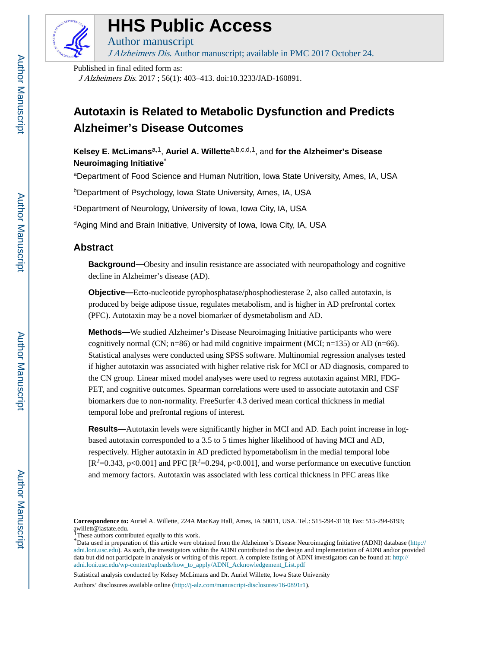

# **HHS Public Access**

J Alzheimers Dis. Author manuscript; available in PMC 2017 October 24.

Published in final edited form as:

Author manuscript

J Alzheimers Dis. 2017 ; 56(1): 403–413. doi:10.3233/JAD-160891.

# **Autotaxin is Related to Metabolic Dysfunction and Predicts Alzheimer's Disease Outcomes**

**Kelsey E. McLimans**a,1, **Auriel A. Willette**a,b,c,d,1, and **for the Alzheimer's Disease Neuroimaging Initiative**\*

aDepartment of Food Science and Human Nutrition, Iowa State University, Ames, IA, USA

<sup>b</sup>Department of Psychology, Iowa State University, Ames, IA, USA

<sup>c</sup>Department of Neurology, University of Iowa, Iowa City, IA, USA

<sup>d</sup>Aging Mind and Brain Initiative, University of Iowa, Iowa City, IA, USA

# **Abstract**

**Background—**Obesity and insulin resistance are associated with neuropathology and cognitive decline in Alzheimer's disease (AD).

**Objective—**Ecto-nucleotide pyrophosphatase/phosphodiesterase 2, also called autotaxin, is produced by beige adipose tissue, regulates metabolism, and is higher in AD prefrontal cortex (PFC). Autotaxin may be a novel biomarker of dysmetabolism and AD.

**Methods—**We studied Alzheimer's Disease Neuroimaging Initiative participants who were cognitively normal (CN;  $n=86$ ) or had mild cognitive impairment (MCI;  $n=135$ ) or AD ( $n=66$ ). Statistical analyses were conducted using SPSS software. Multinomial regression analyses tested if higher autotaxin was associated with higher relative risk for MCI or AD diagnosis, compared to the CN group. Linear mixed model analyses were used to regress autotaxin against MRI, FDG-PET, and cognitive outcomes. Spearman correlations were used to associate autotaxin and CSF biomarkers due to non-normality. FreeSurfer 4.3 derived mean cortical thickness in medial temporal lobe and prefrontal regions of interest.

**Results—**Autotaxin levels were significantly higher in MCI and AD. Each point increase in logbased autotaxin corresponded to a 3.5 to 5 times higher likelihood of having MCI and AD, respectively. Higher autotaxin in AD predicted hypometabolism in the medial temporal lobe  $[R^2=0.343, p<0.001]$  and PFC  $[R^2=0.294, p<0.001]$ , and worse performance on executive function and memory factors. Autotaxin was associated with less cortical thickness in PFC areas like

Authors' disclosures available online [\(http://j-alz.com/manuscript-disclosures/16-0891r1\)](http://j-alz.com/manuscript-disclosures/16-0891r1).

**Correspondence to:** Auriel A. Willette, 224A MacKay Hall, Ames, IA 50011, USA. Tel.: 515-294-3110; Fax: 515-294-6193; awillett@iastate.edu.

These authors contributed equally to this work.

<sup>\*</sup>Data used in preparation of this article were obtained from the Alzheimer's Disease Neuroimaging Initiative (ADNI) database ([http://](http://adni.loni.usc.edu) [adni.loni.usc.edu](http://adni.loni.usc.edu)). As such, the investigators within the ADNI contributed to the design and implementation of ADNI and/or provided data but did not participate in analysis or writing of this report. A complete listing of ADNI investigators can be found at: [http://](http://adni.loni.usc.edu/wp-content/uploads/how_to_apply/ADNI_Acknowledgement_List.pdf) [adni.loni.usc.edu/wp-content/uploads/how\\_to\\_apply/ADNI\\_Acknowledgement\\_List.pdf](http://adni.loni.usc.edu/wp-content/uploads/how_to_apply/ADNI_Acknowledgement_List.pdf)

Statistical analysis conducted by Kelsey McLimans and Dr. Auriel Willette, Iowa State University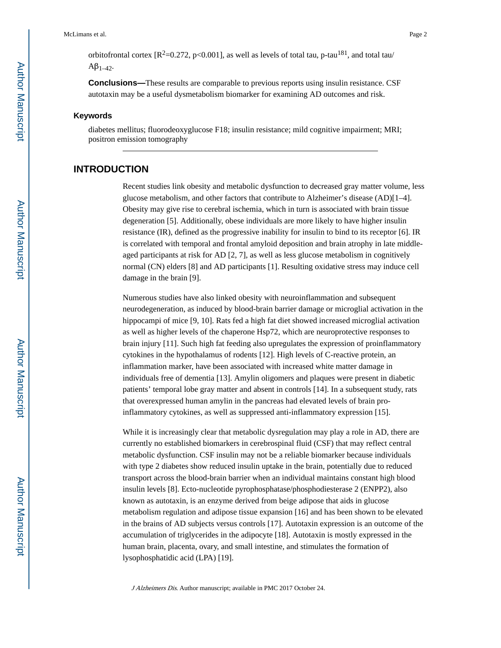orbitofrontal cortex  $[R^2=0.272, p<0.001]$ , as well as levels of total tau, p-tau<sup>181</sup>, and total tau/  $Aβ<sub>1–42</sub>$ .

**Conclusions—**These results are comparable to previous reports using insulin resistance. CSF autotaxin may be a useful dysmetabolism biomarker for examining AD outcomes and risk.

#### **Keywords**

diabetes mellitus; fluorodeoxyglucose F18; insulin resistance; mild cognitive impairment; MRI; positron emission tomography

# **INTRODUCTION**

Recent studies link obesity and metabolic dysfunction to decreased gray matter volume, less glucose metabolism, and other factors that contribute to Alzheimer's disease (AD)[1–4]. Obesity may give rise to cerebral ischemia, which in turn is associated with brain tissue degeneration [5]. Additionally, obese individuals are more likely to have higher insulin resistance (IR), defined as the progressive inability for insulin to bind to its receptor [6]. IR is correlated with temporal and frontal amyloid deposition and brain atrophy in late middleaged participants at risk for AD [2, 7], as well as less glucose metabolism in cognitively normal (CN) elders [8] and AD participants [1]. Resulting oxidative stress may induce cell damage in the brain [9].

Numerous studies have also linked obesity with neuroinflammation and subsequent neurodegeneration, as induced by blood-brain barrier damage or microglial activation in the hippocampi of mice [9, 10]. Rats fed a high fat diet showed increased microglial activation as well as higher levels of the chaperone Hsp72, which are neuroprotective responses to brain injury [11]. Such high fat feeding also upregulates the expression of proinflammatory cytokines in the hypothalamus of rodents [12]. High levels of C-reactive protein, an inflammation marker, have been associated with increased white matter damage in individuals free of dementia [13]. Amylin oligomers and plaques were present in diabetic patients' temporal lobe gray matter and absent in controls [14]. In a subsequent study, rats that overexpressed human amylin in the pancreas had elevated levels of brain proinflammatory cytokines, as well as suppressed anti-inflammatory expression [15].

While it is increasingly clear that metabolic dysregulation may play a role in AD, there are currently no established biomarkers in cerebrospinal fluid (CSF) that may reflect central metabolic dysfunction. CSF insulin may not be a reliable biomarker because individuals with type 2 diabetes show reduced insulin uptake in the brain, potentially due to reduced transport across the blood-brain barrier when an individual maintains constant high blood insulin levels [8]. Ecto-nucleotide pyrophosphatase/phosphodiesterase 2 (ENPP2), also known as autotaxin, is an enzyme derived from beige adipose that aids in glucose metabolism regulation and adipose tissue expansion [16] and has been shown to be elevated in the brains of AD subjects versus controls [17]. Autotaxin expression is an outcome of the accumulation of triglycerides in the adipocyte [18]. Autotaxin is mostly expressed in the human brain, placenta, ovary, and small intestine, and stimulates the formation of lysophosphatidic acid (LPA) [19].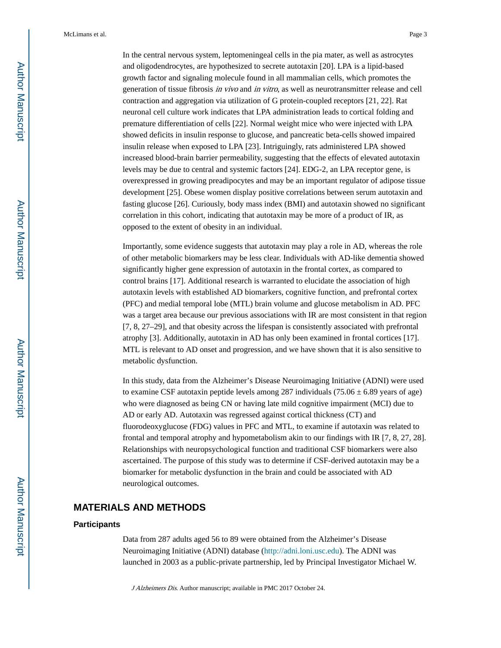In the central nervous system, leptomeningeal cells in the pia mater, as well as astrocytes and oligodendrocytes, are hypothesized to secrete autotaxin [20]. LPA is a lipid-based growth factor and signaling molecule found in all mammalian cells, which promotes the generation of tissue fibrosis in vivo and in vitro, as well as neurotransmitter release and cell contraction and aggregation via utilization of G protein-coupled receptors [21, 22]. Rat neuronal cell culture work indicates that LPA administration leads to cortical folding and premature differentiation of cells [22]. Normal weight mice who were injected with LPA showed deficits in insulin response to glucose, and pancreatic beta-cells showed impaired insulin release when exposed to LPA [23]. Intriguingly, rats administered LPA showed increased blood-brain barrier permeability, suggesting that the effects of elevated autotaxin levels may be due to central and systemic factors [24]. EDG-2, an LPA receptor gene, is overexpressed in growing preadipocytes and may be an important regulator of adipose tissue development [25]. Obese women display positive correlations between serum autotaxin and fasting glucose [26]. Curiously, body mass index (BMI) and autotaxin showed no significant correlation in this cohort, indicating that autotaxin may be more of a product of IR, as opposed to the extent of obesity in an individual.

Importantly, some evidence suggests that autotaxin may play a role in AD, whereas the role of other metabolic biomarkers may be less clear. Individuals with AD-like dementia showed significantly higher gene expression of autotaxin in the frontal cortex, as compared to control brains [17]. Additional research is warranted to elucidate the association of high autotaxin levels with established AD biomarkers, cognitive function, and prefrontal cortex (PFC) and medial temporal lobe (MTL) brain volume and glucose metabolism in AD. PFC was a target area because our previous associations with IR are most consistent in that region [7, 8, 27–29], and that obesity across the lifespan is consistently associated with prefrontal atrophy [3]. Additionally, autotaxin in AD has only been examined in frontal cortices [17]. MTL is relevant to AD onset and progression, and we have shown that it is also sensitive to metabolic dysfunction.

In this study, data from the Alzheimer's Disease Neuroimaging Initiative (ADNI) were used to examine CSF autotaxin peptide levels among 287 individuals  $(75.06 \pm 6.89$  years of age) who were diagnosed as being CN or having late mild cognitive impairment (MCI) due to AD or early AD. Autotaxin was regressed against cortical thickness (CT) and fluorodeoxyglucose (FDG) values in PFC and MTL, to examine if autotaxin was related to frontal and temporal atrophy and hypometabolism akin to our findings with IR [7, 8, 27, 28]. Relationships with neuropsychological function and traditional CSF biomarkers were also ascertained. The purpose of this study was to determine if CSF-derived autotaxin may be a biomarker for metabolic dysfunction in the brain and could be associated with AD neurological outcomes.

# **MATERIALS AND METHODS**

#### **Participants**

Data from 287 adults aged 56 to 89 were obtained from the Alzheimer's Disease Neuroimaging Initiative (ADNI) database ([http://adni.loni.usc.edu\)](http://adni.loni.usc.edu). The ADNI was launched in 2003 as a public-private partnership, led by Principal Investigator Michael W.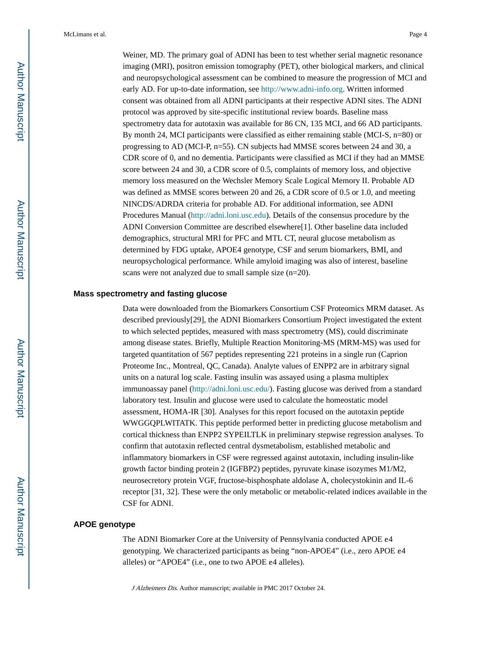Weiner, MD. The primary goal of ADNI has been to test whether serial magnetic resonance imaging (MRI), positron emission tomography (PET), other biological markers, and clinical and neuropsychological assessment can be combined to measure the progression of MCI and early AD. For up-to-date information, see [http://www.adni-info.org.](http://www.adni-info.org) Written informed consent was obtained from all ADNI participants at their respective ADNI sites. The ADNI protocol was approved by site-specific institutional review boards. Baseline mass spectrometry data for autotaxin was available for 86 CN, 135 MCI, and 66 AD participants. By month 24, MCI participants were classified as either remaining stable (MCI-S, n=80) or progressing to AD (MCI-P, n=55). CN subjects had MMSE scores between 24 and 30, a CDR score of 0, and no dementia. Participants were classified as MCI if they had an MMSE score between 24 and 30, a CDR score of 0.5, complaints of memory loss, and objective memory loss measured on the Wechsler Memory Scale Logical Memory II. Probable AD was defined as MMSE scores between 20 and 26, a CDR score of 0.5 or 1.0, and meeting NINCDS/ADRDA criteria for probable AD. For additional information, see ADNI Procedures Manual [\(http://adni.loni.usc.edu](http://adni.loni.usc.edu)). Details of the consensus procedure by the ADNI Conversion Committee are described elsewhere[1]. Other baseline data included demographics, structural MRI for PFC and MTL CT, neural glucose metabolism as determined by FDG uptake, APOE4 genotype, CSF and serum biomarkers, BMI, and neuropsychological performance. While amyloid imaging was also of interest, baseline scans were not analyzed due to small sample size (n=20).

#### **Mass spectrometry and fasting glucose**

Data were downloaded from the Biomarkers Consortium CSF Proteomics MRM dataset. As described previously[29], the ADNI Biomarkers Consortium Project investigated the extent to which selected peptides, measured with mass spectrometry (MS), could discriminate among disease states. Briefly, Multiple Reaction Monitoring-MS (MRM-MS) was used for targeted quantitation of 567 peptides representing 221 proteins in a single run (Caprion Proteome Inc., Montreal, QC, Canada). Analyte values of ENPP2 are in arbitrary signal units on a natural log scale. Fasting insulin was assayed using a plasma multiplex immunoassay panel ([http://adni.loni.usc.edu/\)](http://adni.loni.usc.edu/). Fasting glucose was derived from a standard laboratory test. Insulin and glucose were used to calculate the homeostatic model assessment, HOMA-IR [30]. Analyses for this report focused on the autotaxin peptide WWGGQPLWITATK. This peptide performed better in predicting glucose metabolism and cortical thickness than ENPP2 SYPEILTLK in preliminary stepwise regression analyses. To confirm that autotaxin reflected central dysmetabolism, established metabolic and inflammatory biomarkers in CSF were regressed against autotaxin, including insulin-like growth factor binding protein 2 (IGFBP2) peptides, pyruvate kinase isozymes M1/M2, neurosecretory protein VGF, fructose-bisphosphate aldolase A, cholecystokinin and IL-6 receptor [31, 32]. These were the only metabolic or metabolic-related indices available in the CSF for ADNI.

#### **APOE genotype**

The ADNI Biomarker Core at the University of Pennsylvania conducted APOE ε4 genotyping. We characterized participants as being "non-APOE4" (i.e., zero APOE ε4 alleles) or "APOE4" (i.e., one to two APOE ε4 alleles).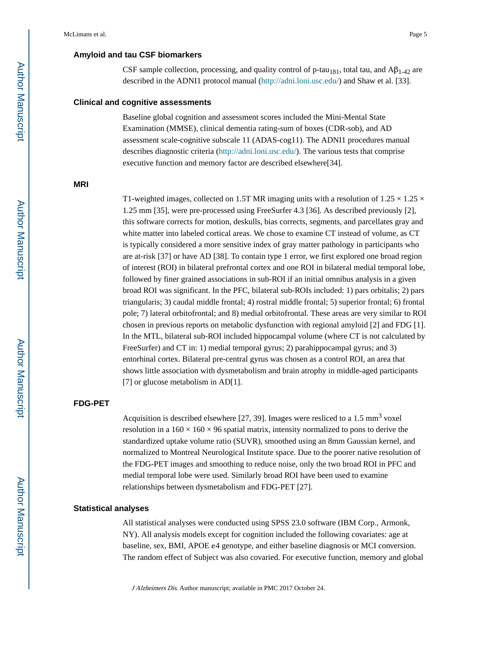#### **Amyloid and tau CSF biomarkers**

CSF sample collection, processing, and quality control of p-tau<sub>181</sub>, total tau, and  $A\beta_{1-42}$  are described in the ADNI1 protocol manual [\(http://adni.loni.usc.edu/](http://adni.loni.usc.edu/)) and Shaw et al. [33].

#### **Clinical and cognitive assessments**

Baseline global cognition and assessment scores included the Mini-Mental State Examination (MMSE), clinical dementia rating-sum of boxes (CDR-sob), and AD assessment scale-cognitive subscale 11 (ADAS-cog11). The ADNI1 procedures manual describes diagnostic criteria [\(http://adni.loni.usc.edu/](http://adni.loni.usc.edu/)). The various tests that comprise executive function and memory factor are described elsewhere[34].

#### **MRI**

T1-weighted images, collected on 1.5T MR imaging units with a resolution of  $1.25 \times 1.25 \times$ 1.25 mm [35], were pre-processed using FreeSurfer 4.3 [36]. As described previously [2], this software corrects for motion, deskulls, bias corrects, segments, and parcellates gray and white matter into labeled cortical areas. We chose to examine CT instead of volume, as CT is typically considered a more sensitive index of gray matter pathology in participants who are at-risk [37] or have AD [38]. To contain type 1 error, we first explored one broad region of interest (ROI) in bilateral prefrontal cortex and one ROI in bilateral medial temporal lobe, followed by finer grained associations in sub-ROI if an initial omnibus analysis in a given broad ROI was significant. In the PFC, bilateral sub-ROIs included: 1) pars orbitalis; 2) pars triangularis; 3) caudal middle frontal; 4) rostral middle frontal; 5) superior frontal; 6) frontal pole; 7) lateral orbitofrontal; and 8) medial orbitofrontal. These areas are very similar to ROI chosen in previous reports on metabolic dysfunction with regional amyloid [2] and FDG [1]. In the MTL, bilateral sub-ROI included hippocampal volume (where CT is not calculated by FreeSurfer) and CT in: 1) medial temporal gyrus; 2) parahippocampal gyrus; and 3) entorhinal cortex. Bilateral pre-central gyrus was chosen as a control ROI, an area that shows little association with dysmetabolism and brain atrophy in middle-aged participants [7] or glucose metabolism in AD[1].

#### **FDG-PET**

Acquisition is described elsewhere [27, 39]. Images were resliced to a 1.5 mm<sup>3</sup> voxel resolution in a  $160 \times 160 \times 96$  spatial matrix, intensity normalized to pons to derive the standardized uptake volume ratio (SUVR), smoothed using an 8mm Gaussian kernel, and normalized to Montreal Neurological Institute space. Due to the poorer native resolution of the FDG-PET images and smoothing to reduce noise, only the two broad ROI in PFC and medial temporal lobe were used. Similarly broad ROI have been used to examine relationships between dysmetabolism and FDG-PET [27].

#### **Statistical analyses**

All statistical analyses were conducted using SPSS 23.0 software (IBM Corp., Armonk, NY). All analysis models except for cognition included the following covariates: age at baseline, sex, BMI, APOE ε4 genotype, and either baseline diagnosis or MCI conversion. The random effect of Subject was also covaried. For executive function, memory and global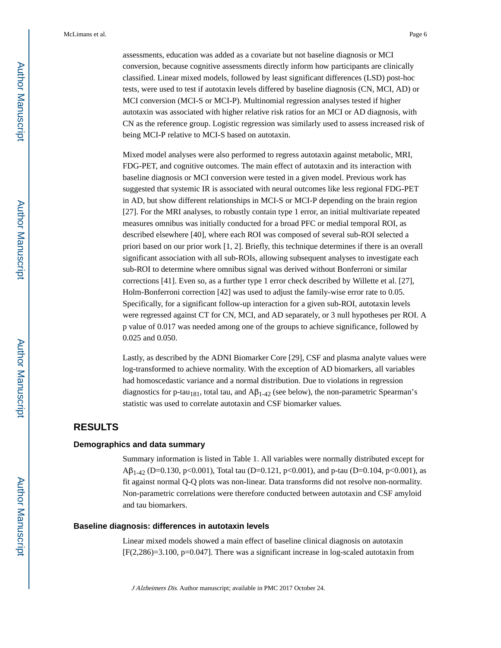assessments, education was added as a covariate but not baseline diagnosis or MCI conversion, because cognitive assessments directly inform how participants are clinically classified. Linear mixed models, followed by least significant differences (LSD) post-hoc tests, were used to test if autotaxin levels differed by baseline diagnosis (CN, MCI, AD) or MCI conversion (MCI-S or MCI-P). Multinomial regression analyses tested if higher autotaxin was associated with higher relative risk ratios for an MCI or AD diagnosis, with CN as the reference group. Logistic regression was similarly used to assess increased risk of being MCI-P relative to MCI-S based on autotaxin.

Mixed model analyses were also performed to regress autotaxin against metabolic, MRI, FDG-PET, and cognitive outcomes. The main effect of autotaxin and its interaction with baseline diagnosis or MCI conversion were tested in a given model. Previous work has suggested that systemic IR is associated with neural outcomes like less regional FDG-PET in AD, but show different relationships in MCI-S or MCI-P depending on the brain region [27]. For the MRI analyses, to robustly contain type 1 error, an initial multivariate repeated measures omnibus was initially conducted for a broad PFC or medial temporal ROI, as described elsewhere [40], where each ROI was composed of several sub-ROI selected a priori based on our prior work [1, 2]. Briefly, this technique determines if there is an overall significant association with all sub-ROIs, allowing subsequent analyses to investigate each sub-ROI to determine where omnibus signal was derived without Bonferroni or similar corrections [41]. Even so, as a further type 1 error check described by Willette et al. [27], Holm-Bonferroni correction [42] was used to adjust the family-wise error rate to 0.05. Specifically, for a significant follow-up interaction for a given sub-ROI, autotaxin levels were regressed against CT for CN, MCI, and AD separately, or 3 null hypotheses per ROI. A p value of 0.017 was needed among one of the groups to achieve significance, followed by 0.025 and 0.050.

Lastly, as described by the ADNI Biomarker Core [29], CSF and plasma analyte values were log-transformed to achieve normality. With the exception of AD biomarkers, all variables had homoscedastic variance and a normal distribution. Due to violations in regression diagnostics for p-tau<sub>181</sub>, total tau, and  $A\beta_{1-42}$  (see below), the non-parametric Spearman's statistic was used to correlate autotaxin and CSF biomarker values.

# **RESULTS**

#### **Demographics and data summary**

Summary information is listed in Table 1. All variables were normally distributed except for A $\beta_{1-42}$  (D=0.130, p<0.001), Total tau (D=0.121, p<0.001), and p-tau (D=0.104, p<0.001), as fit against normal Q-Q plots was non-linear. Data transforms did not resolve non-normality. Non-parametric correlations were therefore conducted between autotaxin and CSF amyloid and tau biomarkers.

#### **Baseline diagnosis: differences in autotaxin levels**

Linear mixed models showed a main effect of baseline clinical diagnosis on autotaxin [F(2,286)=3.100, p=0.047]. There was a significant increase in log-scaled autotaxin from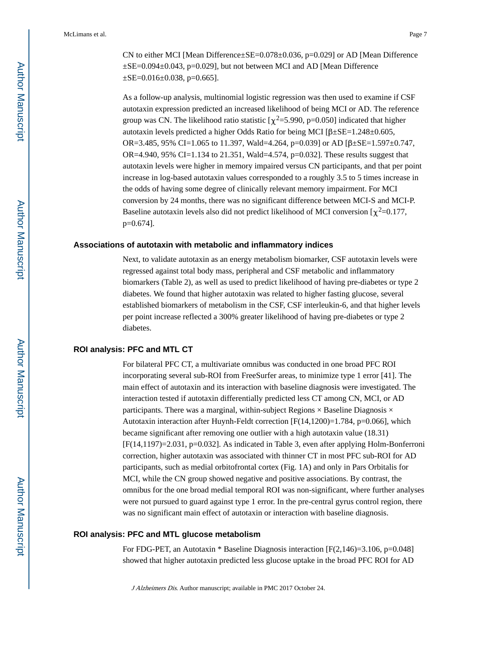CN to either MCI [Mean Difference±SE=0.078±0.036, p=0.029] or AD [Mean Difference ±SE=0.094±0.043, p=0.029], but not between MCI and AD [Mean Difference  $\pm$ SE=0.016 $\pm$ 0.038, p=0.665].

As a follow-up analysis, multinomial logistic regression was then used to examine if CSF autotaxin expression predicted an increased likelihood of being MCI or AD. The reference group was CN. The likelihood ratio statistic  $[\chi^2 = 5.990, p = 0.050]$  indicated that higher autotaxin levels predicted a higher Odds Ratio for being MCI [β±SE=1.248±0.605, OR=3.485, 95% CI=1.065 to 11.397, Wald=4.264, p=0.039] or AD [β±SE=1.597±0.747, OR=4.940, 95% CI=1.134 to 21.351, Wald=4.574, p=0.032]. These results suggest that autotaxin levels were higher in memory impaired versus CN participants, and that per point increase in log-based autotaxin values corresponded to a roughly 3.5 to 5 times increase in the odds of having some degree of clinically relevant memory impairment. For MCI conversion by 24 months, there was no significant difference between MCI-S and MCI-P. Baseline autotaxin levels also did not predict likelihood of MCI conversion  $[\chi^2=0.177,$ p=0.674].

#### **Associations of autotaxin with metabolic and inflammatory indices**

Next, to validate autotaxin as an energy metabolism biomarker, CSF autotaxin levels were regressed against total body mass, peripheral and CSF metabolic and inflammatory biomarkers (Table 2), as well as used to predict likelihood of having pre-diabetes or type 2 diabetes. We found that higher autotaxin was related to higher fasting glucose, several established biomarkers of metabolism in the CSF, CSF interleukin-6, and that higher levels per point increase reflected a 300% greater likelihood of having pre-diabetes or type 2 diabetes.

#### **ROI analysis: PFC and MTL CT**

For bilateral PFC CT, a multivariate omnibus was conducted in one broad PFC ROI incorporating several sub-ROI from FreeSurfer areas, to minimize type 1 error [41]. The main effect of autotaxin and its interaction with baseline diagnosis were investigated. The interaction tested if autotaxin differentially predicted less CT among CN, MCI, or AD participants. There was a marginal, within-subject Regions  $\times$  Baseline Diagnosis  $\times$ Autotaxin interaction after Huynh-Feldt correction [F(14,1200)=1.784, p=0.066], which became significant after removing one outlier with a high autotaxin value (18.31) [F(14,1197)=2.031, p=0.032]. As indicated in Table 3, even after applying Holm-Bonferroni correction, higher autotaxin was associated with thinner CT in most PFC sub-ROI for AD participants, such as medial orbitofrontal cortex (Fig. 1A) and only in Pars Orbitalis for MCI, while the CN group showed negative and positive associations. By contrast, the omnibus for the one broad medial temporal ROI was non-significant, where further analyses were not pursued to guard against type 1 error. In the pre-central gyrus control region, there was no significant main effect of autotaxin or interaction with baseline diagnosis.

#### **ROI analysis: PFC and MTL glucose metabolism**

For FDG-PET, an Autotaxin \* Baseline Diagnosis interaction [F(2,146)=3.106, p=0.048] showed that higher autotaxin predicted less glucose uptake in the broad PFC ROI for AD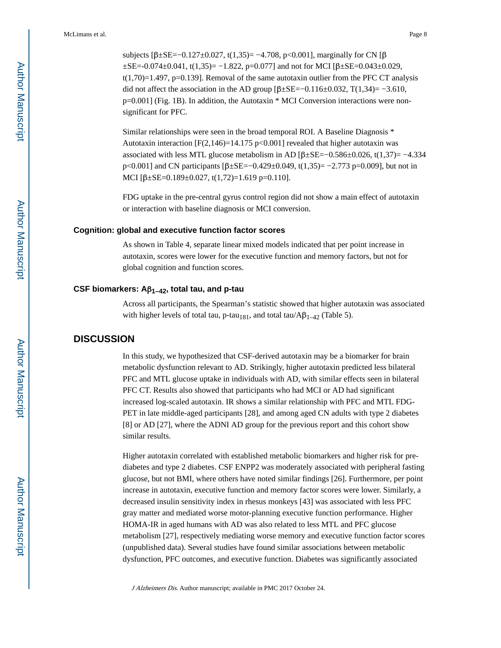subjects  $[\beta \pm SE = -0.127 \pm 0.027, t(1,35) = -4.708, p < 0.001]$ , marginally for CN  $[\beta$  $\pm$ SE=-0.074 $\pm$ 0.041, t(1,35)= -1.822, p=0.077] and not for MCI [ $\beta$  $\pm$ SE=0.043 $\pm$ 0.029,  $t(1,70)=1.497$ , p=0.139]. Removal of the same autotaxin outlier from the PFC CT analysis did not affect the association in the AD group  $[\beta \pm SE = -0.116 \pm 0.032, T(1,34) = -3.610,$ p=0.001] (Fig. 1B). In addition, the Autotaxin \* MCI Conversion interactions were nonsignificant for PFC.

Similar relationships were seen in the broad temporal ROI. A Baseline Diagnosis \* Autotaxin interaction  $[F(2,146)=14.175 \text{ p} < 0.001]$  revealed that higher autotaxin was associated with less MTL glucose metabolism in AD  $\beta \pm SE = -0.586 \pm 0.026$ , t(1,37)= -4.334 p<0.001] and CN participants [β±SE=-0.429±0.049, t(1,35)= -2.773 p=0.009], but not in MCI  $[\beta \pm SE = 0.189 \pm 0.027, t(1,72) = 1.619 \text{ p} = 0.110]$ .

FDG uptake in the pre-central gyrus control region did not show a main effect of autotaxin or interaction with baseline diagnosis or MCI conversion.

#### **Cognition: global and executive function factor scores**

As shown in Table 4, separate linear mixed models indicated that per point increase in autotaxin, scores were lower for the executive function and memory factors, but not for global cognition and function scores.

#### **CSF biomarkers: A**β**1–42, total tau, and p-tau**

Across all participants, the Spearman's statistic showed that higher autotaxin was associated with higher levels of total tau, p-tau<sub>181</sub>, and total tau/A $\beta_{1-42}$  (Table 5).

#### **DISCUSSION**

In this study, we hypothesized that CSF-derived autotaxin may be a biomarker for brain metabolic dysfunction relevant to AD. Strikingly, higher autotaxin predicted less bilateral PFC and MTL glucose uptake in individuals with AD, with similar effects seen in bilateral PFC CT. Results also showed that participants who had MCI or AD had significant increased log-scaled autotaxin. IR shows a similar relationship with PFC and MTL FDG-PET in late middle-aged participants [28], and among aged CN adults with type 2 diabetes [8] or AD [27], where the ADNI AD group for the previous report and this cohort show similar results.

Higher autotaxin correlated with established metabolic biomarkers and higher risk for prediabetes and type 2 diabetes. CSF ENPP2 was moderately associated with peripheral fasting glucose, but not BMI, where others have noted similar findings [26]. Furthermore, per point increase in autotaxin, executive function and memory factor scores were lower. Similarly, a decreased insulin sensitivity index in rhesus monkeys [43] was associated with less PFC gray matter and mediated worse motor-planning executive function performance. Higher HOMA-IR in aged humans with AD was also related to less MTL and PFC glucose metabolism [27], respectively mediating worse memory and executive function factor scores (unpublished data). Several studies have found similar associations between metabolic dysfunction, PFC outcomes, and executive function. Diabetes was significantly associated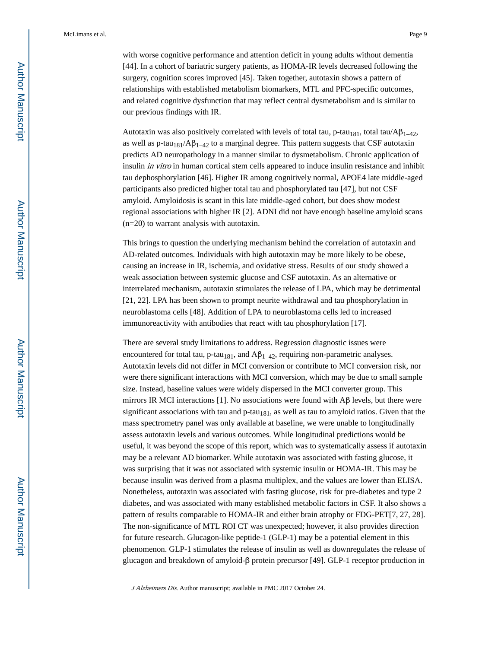with worse cognitive performance and attention deficit in young adults without dementia [44]. In a cohort of bariatric surgery patients, as HOMA-IR levels decreased following the surgery, cognition scores improved [45]. Taken together, autotaxin shows a pattern of relationships with established metabolism biomarkers, MTL and PFC-specific outcomes, and related cognitive dysfunction that may reflect central dysmetabolism and is similar to our previous findings with IR.

Autotaxin was also positively correlated with levels of total tau, p-tau<sub>181</sub>, total tau/A $\beta_{1-42}$ , as well as p-tau<sub>181</sub>/A $\beta_{1-42}$  to a marginal degree. This pattern suggests that CSF autotaxin predicts AD neuropathology in a manner similar to dysmetabolism. Chronic application of insulin *in vitro* in human cortical stem cells appeared to induce insulin resistance and inhibit tau dephosphorylation [46]. Higher IR among cognitively normal, APOE4 late middle-aged participants also predicted higher total tau and phosphorylated tau [47], but not CSF amyloid. Amyloidosis is scant in this late middle-aged cohort, but does show modest regional associations with higher IR [2]. ADNI did not have enough baseline amyloid scans (n=20) to warrant analysis with autotaxin.

This brings to question the underlying mechanism behind the correlation of autotaxin and AD-related outcomes. Individuals with high autotaxin may be more likely to be obese, causing an increase in IR, ischemia, and oxidative stress. Results of our study showed a weak association between systemic glucose and CSF autotaxin. As an alternative or interrelated mechanism, autotaxin stimulates the release of LPA, which may be detrimental [21, 22]. LPA has been shown to prompt neurite withdrawal and tau phosphorylation in neuroblastoma cells [48]. Addition of LPA to neuroblastoma cells led to increased immunoreactivity with antibodies that react with tau phosphorylation [17].

There are several study limitations to address. Regression diagnostic issues were encountered for total tau, p-tau<sub>181</sub>, and  $A\beta_{1-42}$ , requiring non-parametric analyses. Autotaxin levels did not differ in MCI conversion or contribute to MCI conversion risk, nor were there significant interactions with MCI conversion, which may be due to small sample size. Instead, baseline values were widely dispersed in the MCI converter group. This mirrors IR MCI interactions [1]. No associations were found with Aβ levels, but there were significant associations with tau and  $p$ -tau<sub>181</sub>, as well as tau to amyloid ratios. Given that the mass spectrometry panel was only available at baseline, we were unable to longitudinally assess autotaxin levels and various outcomes. While longitudinal predictions would be useful, it was beyond the scope of this report, which was to systematically assess if autotaxin may be a relevant AD biomarker. While autotaxin was associated with fasting glucose, it was surprising that it was not associated with systemic insulin or HOMA-IR. This may be because insulin was derived from a plasma multiplex, and the values are lower than ELISA. Nonetheless, autotaxin was associated with fasting glucose, risk for pre-diabetes and type 2 diabetes, and was associated with many established metabolic factors in CSF. It also shows a pattern of results comparable to HOMA-IR and either brain atrophy or FDG-PET[7, 27, 28]. The non-significance of MTL ROI CT was unexpected; however, it also provides direction for future research. Glucagon-like peptide-1 (GLP-1) may be a potential element in this phenomenon. GLP-1 stimulates the release of insulin as well as downregulates the release of glucagon and breakdown of amyloid-β protein precursor [49]. GLP-1 receptor production in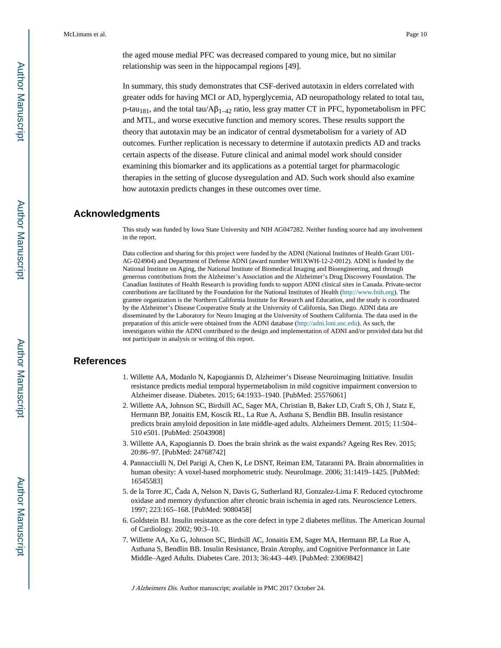the aged mouse medial PFC was decreased compared to young mice, but no similar relationship was seen in the hippocampal regions [49].

In summary, this study demonstrates that CSF-derived autotaxin in elders correlated with greater odds for having MCI or AD, hyperglycemia, AD neuropathology related to total tau, p-tau<sub>181</sub>, and the total tau/ $\mathsf{A}\beta_{1-42}$  ratio, less gray matter CT in PFC, hypometabolism in PFC and MTL, and worse executive function and memory scores. These results support the theory that autotaxin may be an indicator of central dysmetabolism for a variety of AD outcomes. Further replication is necessary to determine if autotaxin predicts AD and tracks certain aspects of the disease. Future clinical and animal model work should consider examining this biomarker and its applications as a potential target for pharmacologic therapies in the setting of glucose dysregulation and AD. Such work should also examine how autotaxin predicts changes in these outcomes over time.

# **Acknowledgments**

This study was funded by Iowa State University and NIH AG047282. Neither funding source had any involvement in the report.

Data collection and sharing for this project were funded by the ADNI (National Institutes of Health Grant U01- AG-024904) and Department of Defense ADNI (award number W81XWH-12-2-0012). ADNI is funded by the National Institute on Aging, the National Institute of Biomedical Imaging and Bioengineering, and through generous contributions from the Alzheimer's Association and the Alzheimer's Drug Discovery Foundation. The Canadian Institutes of Health Research is providing funds to support ADNI clinical sites in Canada. Private-sector contributions are facilitated by the Foundation for the National Institutes of Health [\(http://www.fnih.org\)](http://www.fnih.org). The grantee organization is the Northern California Institute for Research and Education, and the study is coordinated by the Alzheimer's Disease Cooperative Study at the University of California, San Diego. ADNI data are disseminated by the Laboratory for Neuro Imaging at the University of Southern California. The data used in the preparation of this article were obtained from the ADNI database [\(http://adni.loni.usc.edu\)](http://adni.loni.usc.edu). As such, the investigators within the ADNI contributed to the design and implementation of ADNI and/or provided data but did not participate in analysis or writing of this report.

## **References**

- 1. Willette AA, Modanlo N, Kapogiannis D, Alzheimer's Disease Neuroimaging Initiative. Insulin resistance predicts medial temporal hypermetabolism in mild cognitive impairment conversion to Alzheimer disease. Diabetes. 2015; 64:1933–1940. [PubMed: 25576061]
- 2. Willette AA, Johnson SC, Birdsill AC, Sager MA, Christian B, Baker LD, Craft S, Oh J, Statz E, Hermann BP, Jonaitis EM, Koscik RL, La Rue A, Asthana S, Bendlin BB. Insulin resistance predicts brain amyloid deposition in late middle-aged adults. Alzheimers Dement. 2015; 11:504– 510 e501. [PubMed: 25043908]
- 3. Willette AA, Kapogiannis D. Does the brain shrink as the waist expands? Ageing Res Rev. 2015; 20:86–97. [PubMed: 24768742]
- 4. Pannacciulli N, Del Parigi A, Chen K, Le DSNT, Reiman EM, Tataranni PA. Brain abnormalities in human obesity: A voxel-based morphometric study. NeuroImage. 2006; 31:1419–1425. [PubMed: 16545583]
- 5. de la Torre JC, Čada A, Nelson N, Davis G, Sutherland RJ, Gonzalez-Lima F. Reduced cytochrome oxidase and memory dysfunction after chronic brain ischemia in aged rats. Neuroscience Letters. 1997; 223:165–168. [PubMed: 9080458]
- 6. Goldstein BJ. Insulin resistance as the core defect in type 2 diabetes mellitus. The American Journal of Cardiology. 2002; 90:3–10.
- 7. Willette AA, Xu G, Johnson SC, Birdsill AC, Jonaitis EM, Sager MA, Hermann BP, La Rue A, Asthana S, Bendlin BB. Insulin Resistance, Brain Atrophy, and Cognitive Performance in Late Middle–Aged Adults. Diabetes Care. 2013; 36:443–449. [PubMed: 23069842]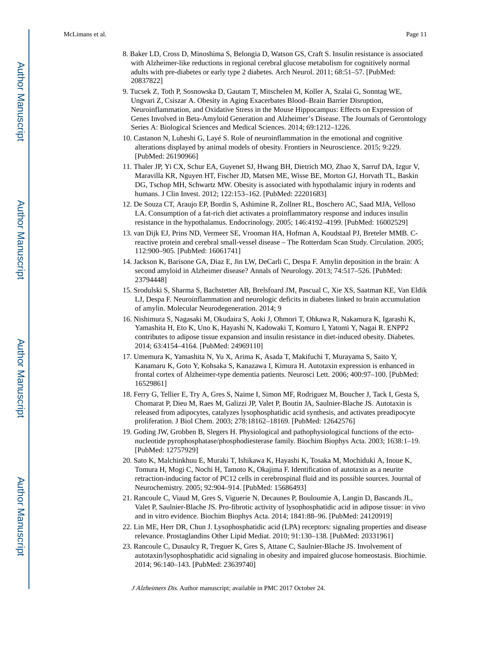- 8. Baker LD, Cross D, Minoshima S, Belongia D, Watson GS, Craft S. Insulin resistance is associated with Alzheimer-like reductions in regional cerebral glucose metabolism for cognitively normal adults with pre-diabetes or early type 2 diabetes. Arch Neurol. 2011; 68:51–57. [PubMed: 20837822]
- 9. Tucsek Z, Toth P, Sosnowska D, Gautam T, Mitschelen M, Koller A, Szalai G, Sonntag WE, Ungvari Z, Csiszar A. Obesity in Aging Exacerbates Blood–Brain Barrier Disruption, Neuroinflammation, and Oxidative Stress in the Mouse Hippocampus: Effects on Expression of Genes Involved in Beta-Amyloid Generation and Alzheimer's Disease. The Journals of Gerontology Series A: Biological Sciences and Medical Sciences. 2014; 69:1212–1226.
- 10. Castanon N, Luheshi G, Layé S. Role of neuroinflammation in the emotional and cognitive alterations displayed by animal models of obesity. Frontiers in Neuroscience. 2015; 9:229. [PubMed: 26190966]
- 11. Thaler JP, Yi CX, Schur EA, Guyenet SJ, Hwang BH, Dietrich MO, Zhao X, Sarruf DA, Izgur V, Maravilla KR, Nguyen HT, Fischer JD, Matsen ME, Wisse BE, Morton GJ, Horvath TL, Baskin DG, Tschop MH, Schwartz MW. Obesity is associated with hypothalamic injury in rodents and humans. J Clin Invest. 2012; 122:153–162. [PubMed: 22201683]
- 12. De Souza CT, Araujo EP, Bordin S, Ashimine R, Zollner RL, Boschero AC, Saad MJA, Velloso LA. Consumption of a fat-rich diet activates a proinflammatory response and induces insulin resistance in the hypothalamus. Endocrinology. 2005; 146:4192–4199. [PubMed: 16002529]
- 13. van Dijk EJ, Prins ND, Vermeer SE, Vrooman HA, Hofman A, Koudstaal PJ, Breteler MMB. Creactive protein and cerebral small-vessel disease – The Rotterdam Scan Study. Circulation. 2005; 112:900–905. [PubMed: 16061741]
- 14. Jackson K, Barisone GA, Diaz E, Jin LW, DeCarli C, Despa F. Amylin deposition in the brain: A second amyloid in Alzheimer disease? Annals of Neurology. 2013; 74:517–526. [PubMed: 23794448]
- 15. Srodulski S, Sharma S, Bachstetter AB, Brelsfoard JM, Pascual C, Xie XS, Saatman KE, Van Eldik LJ, Despa F. Neuroinflammation and neurologic deficits in diabetes linked to brain accumulation of amylin. Molecular Neurodegeneration. 2014; 9
- 16. Nishimura S, Nagasaki M, Okudaira S, Aoki J, Ohmori T, Ohkawa R, Nakamura K, Igarashi K, Yamashita H, Eto K, Uno K, Hayashi N, Kadowaki T, Komuro I, Yatomi Y, Nagai R. ENPP2 contributes to adipose tissue expansion and insulin resistance in diet-induced obesity. Diabetes. 2014; 63:4154–4164. [PubMed: 24969110]
- 17. Umemura K, Yamashita N, Yu X, Arima K, Asada T, Makifuchi T, Murayama S, Saito Y, Kanamaru K, Goto Y, Kohsaka S, Kanazawa I, Kimura H. Autotaxin expression is enhanced in frontal cortex of Alzheimer-type dementia patients. Neurosci Lett. 2006; 400:97–100. [PubMed: 16529861]
- 18. Ferry G, Tellier E, Try A, Gres S, Naime I, Simon MF, Rodriguez M, Boucher J, Tack I, Gesta S, Chomarat P, Dieu M, Raes M, Galizzi JP, Valet P, Boutin JA, Saulnier-Blache JS. Autotaxin is released from adipocytes, catalyzes lysophosphatidic acid synthesis, and activates preadipocyte proliferation. J Biol Chem. 2003; 278:18162–18169. [PubMed: 12642576]
- 19. Goding JW, Grobben B, Slegers H. Physiological and pathophysiological functions of the ectonucleotide pyrophosphatase/phosphodiesterase family. Biochim Biophys Acta. 2003; 1638:1–19. [PubMed: 12757929]
- 20. Sato K, Malchinkhuu E, Muraki T, Ishikawa K, Hayashi K, Tosaka M, Mochiduki A, Inoue K, Tomura H, Mogi C, Nochi H, Tamoto K, Okajima F. Identification of autotaxin as a neurite retraction-inducing factor of PC12 cells in cerebrospinal fluid and its possible sources. Journal of Neurochemistry. 2005; 92:904–914. [PubMed: 15686493]
- 21. Rancoule C, Viaud M, Gres S, Viguerie N, Decaunes P, Bouloumie A, Langin D, Bascands JL, Valet P, Saulnier-Blache JS. Pro-fibrotic activity of lysophosphatidic acid in adipose tissue: in vivo and in vitro evidence. Biochim Biophys Acta. 2014; 1841:88–96. [PubMed: 24120919]
- 22. Lin ME, Herr DR, Chun J. Lysophosphatidic acid (LPA) receptors: signaling properties and disease relevance. Prostaglandins Other Lipid Mediat. 2010; 91:130–138. [PubMed: 20331961]
- 23. Rancoule C, Dusaulcy R, Treguer K, Gres S, Attane C, Saulnier-Blache JS. Involvement of autotaxin/lysophosphatidic acid signaling in obesity and impaired glucose homeostasis. Biochimie. 2014; 96:140–143. [PubMed: 23639740]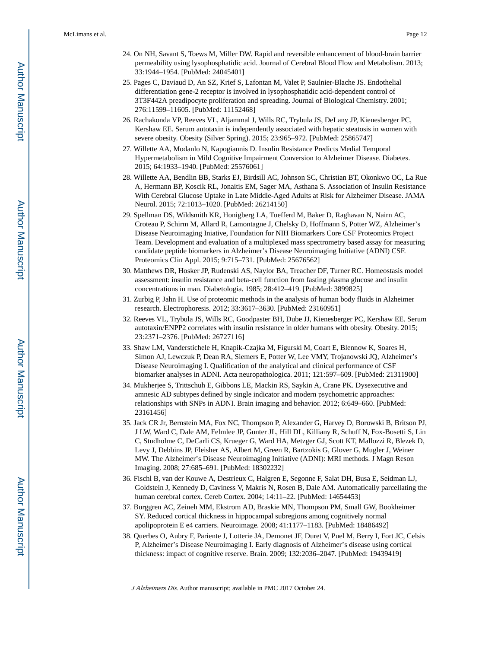- 24. On NH, Savant S, Toews M, Miller DW. Rapid and reversible enhancement of blood-brain barrier permeability using lysophosphatidic acid. Journal of Cerebral Blood Flow and Metabolism. 2013; 33:1944–1954. [PubMed: 24045401]
- 25. Pages C, Daviaud D, An SZ, Krief S, Lafontan M, Valet P, Saulnier-Blache JS. Endothelial differentiation gene-2 receptor is involved in lysophosphatidic acid-dependent control of 3T3F442A preadipocyte proliferation and spreading. Journal of Biological Chemistry. 2001; 276:11599–11605. [PubMed: 11152468]
- 26. Rachakonda VP, Reeves VL, Aljammal J, Wills RC, Trybula JS, DeLany JP, Kienesberger PC, Kershaw EE. Serum autotaxin is independently associated with hepatic steatosis in women with severe obesity. Obesity (Silver Spring). 2015; 23:965–972. [PubMed: 25865747]
- 27. Willette AA, Modanlo N, Kapogiannis D. Insulin Resistance Predicts Medial Temporal Hypermetabolism in Mild Cognitive Impairment Conversion to Alzheimer Disease. Diabetes. 2015; 64:1933–1940. [PubMed: 25576061]
- 28. Willette AA, Bendlin BB, Starks EJ, Birdsill AC, Johnson SC, Christian BT, Okonkwo OC, La Rue A, Hermann BP, Koscik RL, Jonaitis EM, Sager MA, Asthana S. Association of Insulin Resistance With Cerebral Glucose Uptake in Late Middle-Aged Adults at Risk for Alzheimer Disease. JAMA Neurol. 2015; 72:1013–1020. [PubMed: 26214150]
- 29. Spellman DS, Wildsmith KR, Honigberg LA, Tuefferd M, Baker D, Raghavan N, Nairn AC, Croteau P, Schirm M, Allard R, Lamontagne J, Chelsky D, Hoffmann S, Potter WZ, Alzheimer's Disease Neuroimaging Iniative, Foundation for NIH Biomarkers Core CSF Proteomics Project Team. Development and evaluation of a multiplexed mass spectrometry based assay for measuring candidate peptide biomarkers in Alzheimer's Disease Neuroimaging Initiative (ADNI) CSF. Proteomics Clin Appl. 2015; 9:715–731. [PubMed: 25676562]
- 30. Matthews DR, Hosker JP, Rudenski AS, Naylor BA, Treacher DF, Turner RC. Homeostasis model assessment: insulin resistance and beta-cell function from fasting plasma glucose and insulin concentrations in man. Diabetologia. 1985; 28:412–419. [PubMed: 3899825]
- 31. Zurbig P, Jahn H. Use of proteomic methods in the analysis of human body fluids in Alzheimer research. Electrophoresis. 2012; 33:3617–3630. [PubMed: 23160951]
- 32. Reeves VL, Trybula JS, Wills RC, Goodpaster BH, Dube JJ, Kienesberger PC, Kershaw EE. Serum autotaxin/ENPP2 correlates with insulin resistance in older humans with obesity. Obesity. 2015; 23:2371–2376. [PubMed: 26727116]
- 33. Shaw LM, Vanderstichele H, Knapik-Czajka M, Figurski M, Coart E, Blennow K, Soares H, Simon AJ, Lewczuk P, Dean RA, Siemers E, Potter W, Lee VMY, Trojanowski JQ, Alzheimer's Disease Neuroimaging I. Qualification of the analytical and clinical performance of CSF biomarker analyses in ADNI. Acta neuropathologica. 2011; 121:597–609. [PubMed: 21311900]
- 34. Mukherjee S, Trittschuh E, Gibbons LE, Mackin RS, Saykin A, Crane PK. Dysexecutive and amnesic AD subtypes defined by single indicator and modern psychometric approaches: relationships with SNPs in ADNI. Brain imaging and behavior. 2012; 6:649–660. [PubMed: 23161456]
- 35. Jack CR Jr, Bernstein MA, Fox NC, Thompson P, Alexander G, Harvey D, Borowski B, Britson PJ, J LW, Ward C, Dale AM, Felmlee JP, Gunter JL, Hill DL, Killiany R, Schuff N, Fox-Bosetti S, Lin C, Studholme C, DeCarli CS, Krueger G, Ward HA, Metzger GJ, Scott KT, Mallozzi R, Blezek D, Levy J, Debbins JP, Fleisher AS, Albert M, Green R, Bartzokis G, Glover G, Mugler J, Weiner MW. The Alzheimer's Disease Neuroimaging Initiative (ADNI): MRI methods. J Magn Reson Imaging. 2008; 27:685–691. [PubMed: 18302232]
- 36. Fischl B, van der Kouwe A, Destrieux C, Halgren E, Segonne F, Salat DH, Busa E, Seidman LJ, Goldstein J, Kennedy D, Caviness V, Makris N, Rosen B, Dale AM. Automatically parcellating the human cerebral cortex. Cereb Cortex. 2004; 14:11–22. [PubMed: 14654453]
- 37. Burggren AC, Zeineh MM, Ekstrom AD, Braskie MN, Thompson PM, Small GW, Bookheimer SY. Reduced cortical thickness in hippocampal subregions among cognitively normal apolipoprotein E e4 carriers. Neuroimage. 2008; 41:1177–1183. [PubMed: 18486492]
- 38. Querbes O, Aubry F, Pariente J, Lotterie JA, Demonet JF, Duret V, Puel M, Berry I, Fort JC, Celsis P, Alzheimer's Disease Neuroimaging I. Early diagnosis of Alzheimer's disease using cortical thickness: impact of cognitive reserve. Brain. 2009; 132:2036–2047. [PubMed: 19439419]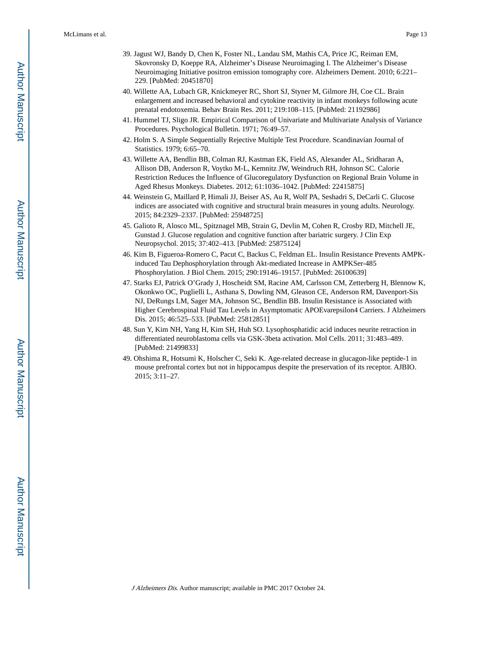- 39. Jagust WJ, Bandy D, Chen K, Foster NL, Landau SM, Mathis CA, Price JC, Reiman EM, Skovronsky D, Koeppe RA, Alzheimer's Disease Neuroimaging I. The Alzheimer's Disease Neuroimaging Initiative positron emission tomography core. Alzheimers Dement. 2010; 6:221– 229. [PubMed: 20451870]
- 40. Willette AA, Lubach GR, Knickmeyer RC, Short SJ, Styner M, Gilmore JH, Coe CL. Brain enlargement and increased behavioral and cytokine reactivity in infant monkeys following acute prenatal endotoxemia. Behav Brain Res. 2011; 219:108–115. [PubMed: 21192986]
- 41. Hummel TJ, Sligo JR. Empirical Comparison of Univariate and Multivariate Analysis of Variance Procedures. Psychological Bulletin. 1971; 76:49–57.
- 42. Holm S. A Simple Sequentially Rejective Multiple Test Procedure. Scandinavian Journal of Statistics. 1979; 6:65–70.
- 43. Willette AA, Bendlin BB, Colman RJ, Kastman EK, Field AS, Alexander AL, Sridharan A, Allison DB, Anderson R, Voytko M-L, Kemnitz JW, Weindruch RH, Johnson SC. Calorie Restriction Reduces the Influence of Glucoregulatory Dysfunction on Regional Brain Volume in Aged Rhesus Monkeys. Diabetes. 2012; 61:1036–1042. [PubMed: 22415875]
- 44. Weinstein G, Maillard P, Himali JJ, Beiser AS, Au R, Wolf PA, Seshadri S, DeCarli C. Glucose indices are associated with cognitive and structural brain measures in young adults. Neurology. 2015; 84:2329–2337. [PubMed: 25948725]
- 45. Galioto R, Alosco ML, Spitznagel MB, Strain G, Devlin M, Cohen R, Crosby RD, Mitchell JE, Gunstad J. Glucose regulation and cognitive function after bariatric surgery. J Clin Exp Neuropsychol. 2015; 37:402–413. [PubMed: 25875124]
- 46. Kim B, Figueroa-Romero C, Pacut C, Backus C, Feldman EL. Insulin Resistance Prevents AMPKinduced Tau Dephosphorylation through Akt-mediated Increase in AMPKSer-485 Phosphorylation. J Biol Chem. 2015; 290:19146–19157. [PubMed: 26100639]
- 47. Starks EJ, Patrick O'Grady J, Hoscheidt SM, Racine AM, Carlsson CM, Zetterberg H, Blennow K, Okonkwo OC, Puglielli L, Asthana S, Dowling NM, Gleason CE, Anderson RM, Davenport-Sis NJ, DeRungs LM, Sager MA, Johnson SC, Bendlin BB. Insulin Resistance is Associated with Higher Cerebrospinal Fluid Tau Levels in Asymptomatic APOEvarepsilon4 Carriers. J Alzheimers Dis. 2015; 46:525–533. [PubMed: 25812851]
- 48. Sun Y, Kim NH, Yang H, Kim SH, Huh SO. Lysophosphatidic acid induces neurite retraction in differentiated neuroblastoma cells via GSK-3beta activation. Mol Cells. 2011; 31:483–489. [PubMed: 21499833]
- 49. Ohshima R, Hotsumi K, Holscher C, Seki K. Age-related decrease in glucagon-like peptide-1 in mouse prefrontal cortex but not in hippocampus despite the preservation of its receptor. AJBIO. 2015; 3:11–27.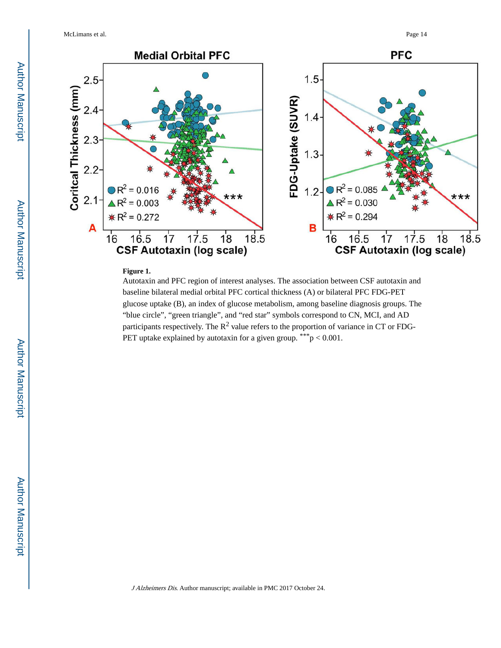McLimans et al. Page 14



## **Figure 1.**

Autotaxin and PFC region of interest analyses. The association between CSF autotaxin and baseline bilateral medial orbital PFC cortical thickness (A) or bilateral PFC FDG-PET glucose uptake (B), an index of glucose metabolism, among baseline diagnosis groups. The "blue circle", "green triangle", and "red star" symbols correspond to CN, MCI, and AD participants respectively. The  $R^2$  value refers to the proportion of variance in CT or FDG-PET uptake explained by autotaxin for a given group. \*\*\*  $p < 0.001$ .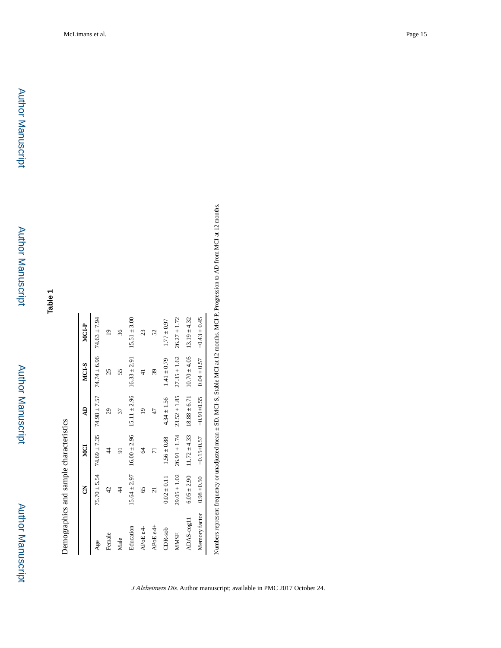| i<br>$\sim$ $\sim$ $\sim$ $\sim$ $\sim$ $\sim$ |
|------------------------------------------------|
|                                                |
| ı                                              |
|                                                |
| くそう こうこう                                       |

|               | 3                | ZС               | ą                                                                                    | <b>MCI-S</b>     | MCI-P            |
|---------------|------------------|------------------|--------------------------------------------------------------------------------------|------------------|------------------|
| Age           |                  |                  | $75.70 \pm 5.54$ $74.69 \pm 7.35$ $74.98 \pm 7.57$ $74.74 \pm 6.96$ $74.63 \pm 7.94$ |                  |                  |
| Female        | $\overline{4}$   | 4                | 29                                                                                   | 25               | σ                |
| Male          | $\overline{4}$   | 5                | 37                                                                                   | 55               | 36               |
| Education     | $15.64 \pm 2.97$ | $16.00 \pm 2.96$ | $15.11 \pm 2.96$                                                                     | $16.33 \pm 2.91$ | $15.51 \pm 3.00$ |
| APoE e4-      | 65               | 4                |                                                                                      |                  | 23               |
| APoE e4+      | ដ                |                  | 47                                                                                   | 39               | 52               |
| CDR-sob       | $0.02 \pm 0.11$  | $1.56 \pm 0.88$  | $4.34 \pm 1.56$                                                                      | $1.41 \pm 0.79$  | $1.77 \pm 0.97$  |
| <b>MMSE</b>   |                  |                  | $29.05 \pm 1.02$ $26.91 \pm 1.74$ $23.52 \pm 1.85$                                   | $27.35 \pm 1.62$ | $26.27 \pm 1.72$ |
| ADAS-cog11    | $6.05 \pm 2.90$  |                  | $11.72 \pm 4.33$ $18.88 \pm 6.71$ $10.70 \pm 4.05$ $13.19 \pm 4.32$                  |                  |                  |
| Memory factor | $0.98 + 0.50$    |                  | $-0.15 \pm 0.57$ $-0.91 \pm 0.55$ $0.45 \pm 0.57$ $-0.43 \pm 0.45$                   |                  |                  |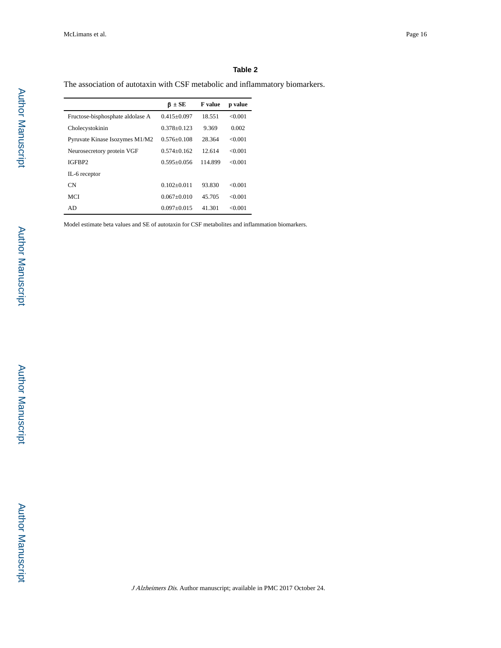#### **Table 2**

The association of autotaxin with CSF metabolic and inflammatory biomarkers.

|                                  | $\beta \pm SE$  | <b>F</b> value | p value |
|----------------------------------|-----------------|----------------|---------|
| Fructose-bisphosphate aldolase A | $0.415 + 0.097$ | 18.551         | < 0.001 |
| Cholecystokinin                  | $0.378 + 0.123$ | 9.369          | 0.002   |
| Pyruvate Kinase Isozymes M1/M2   | $0.576 + 0.108$ | 28 364         | < 0.001 |
| Neurosecretory protein VGF       | $0.574 + 0.162$ | 12.614         | < 0.001 |
| IGFBP2                           | $0.595 + 0.056$ | 114.899        | <0.001  |
| IL-6 receptor                    |                 |                |         |
| $\overline{C}N$                  | $0.102 + 0.011$ | 93.830         | <0.001  |
| MCI                              | $0.067 + 0.010$ | 45 705         | <0.001  |
| AD                               | $0.097 + 0.015$ | 41.301         | < 0.001 |

Model estimate beta values and SE of autotaxin for CSF metabolites and inflammation biomarkers.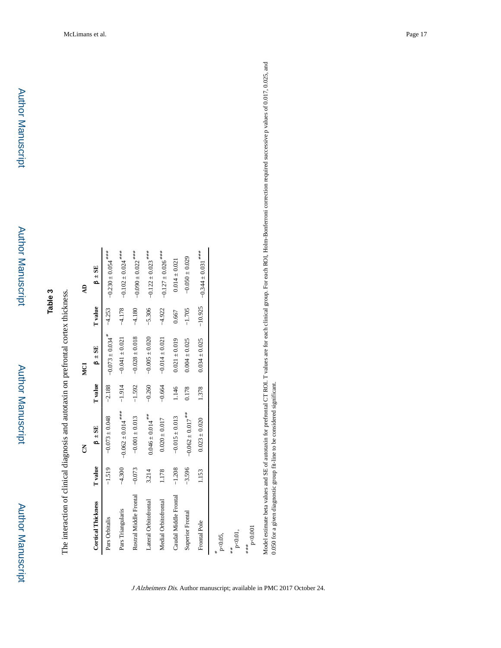# **Table 3**

The interaction of clinical diagnosis and autotaxin on prefrontal cortex thickness. The interaction of clinical diagnosis and autotaxin on prefrontal cortex thickness.

|                               |          | š                               |                | MCI                              |           | Ę                                  |
|-------------------------------|----------|---------------------------------|----------------|----------------------------------|-----------|------------------------------------|
| <b>Cortical Thickness</b>     | T value  | $\beta \pm \text{SE}$           | <b>T</b> value | $\beta \pm SE$                   | T value   | $\beta \pm SE$                     |
| Pars Orbitalis                | $-1.519$ | $-0.073 \pm 0.048$              | $-2.188$       | $-0.073 \pm 0.034$ <sup>**</sup> | $-4.253$  | $-0.230 \pm 0.054$ ***             |
| Pars Triangularis             | $-4.300$ | $-0.062 \pm 0.014$ ***          | $-1.914$       | $-0.041 \pm 0.021$               | $-4.178$  | $-0.102 \pm 0.024$ ***             |
| Rostral Middle Frontal        | $-0.073$ | $-0.001 \pm 0.013$              | $-1.592$       | $-0.028 \pm 0.018$               | $-4.180$  | $-0.090 \pm 0.022$ ***             |
| Lateral Orbitofrontal         | 3.214    | $0.046 \pm 0.014$ <sup>**</sup> | $-0.260$       | $-0.005 \pm 0.020$               | $-5.306$  | $-0.122 \pm 0.023$ ***             |
| Medial Orbitofrontal          | 1.178    | $0.020 \pm 0.017$               | $-0.664$       | $-0.014 \pm 0.021$               | $-4.922$  | $-0.127 \pm 0.026$ <sup>****</sup> |
| Caudal Middle Frontal         | $-1.208$ | $-0.015 \pm 0.013$              | 1.146          | $0.021 \pm 0.019$                | 0.667     | $0.014 \pm 0.021$                  |
| Superior Frontal              | $-3.596$ | $-0.062 \pm 0.017$ **           | 0.178          | $0.004 \pm 0.025$                | $-1.705$  | $-0.050 \pm 0.029$                 |
| Frontal Pole                  | 1.153    | $0.023 \pm 0.020$               | 1.378          | $0.034 \pm 0.025$                | $-10.925$ | $-0.344 \pm 0.031$ <sup>***</sup>  |
| p<0.05,                       |          |                                 |                |                                  |           |                                    |
| ${\rm p}\!\!<\!\!0.01,$<br>** |          |                                 |                |                                  |           |                                    |
| de sée sée                    |          |                                 |                |                                  |           |                                    |

\*\*\* p<0.001

J Alzheimers Dis. Author manuscript; available in PMC 2017 October 24.

Model estimate beta values and SE of autotaxin for prefrontal CT ROI. T values are for each clinical group. For each ROI, Holm-Bonferroni correction required successive p values of 0.017, 0.025, and<br>0.050 for a given diagn Model estimate beta values and SE of autotaxin for prefrontal CT ROI. T values are for each clinical group. For each ROI, Holm-Bonferroni correction required successive p values of 0.017, 0.025, and 0.050 for a given diagnostic group fit-line to be considered significant.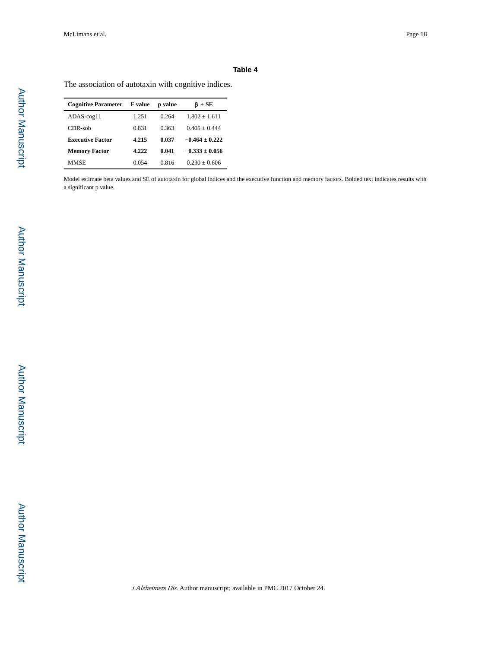#### **Table 4**

The association of autotaxin with cognitive indices.

| <b>Cognitive Parameter</b> | F value | p value | $\beta \pm SE$     |
|----------------------------|---------|---------|--------------------|
| ADAS-cog11                 | 1 251   | 0.264   | $1.802 + 1.611$    |
| $CDR$ -sob                 | 0.831   | 0.363   | $0.405 + 0.444$    |
| <b>Executive Factor</b>    | 4.215   | 0.037   | $-0.464 + 0.222$   |
| <b>Memory Factor</b>       | 4.222   | 0.041   | $-0.333 \pm 0.056$ |
| MMSE                       | 0.054   | 0.816   | $0.230 + 0.606$    |

Model estimate beta values and SE of autotaxin for global indices and the executive function and memory factors. Bolded text indicates results with a significant p value.